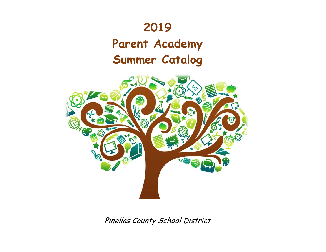# **2019**

# **Parent Academy Summer Catalog**



Pinellas County School District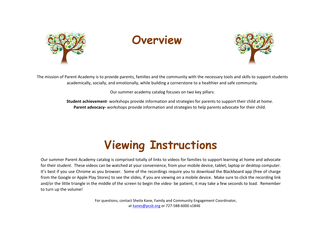

# **Overview**



The mission of Parent Academy is to provide parents, families and the community with the necessary tools and skills to support students academically, socially, and emotionally, while building a cornerstone to a healthier and safe community.

Our summer academy catalog focuses on two key pillars:

**Student achievement**- workshops provide information and strategies for parents to support their child at home. **Parent advocacy-** workshops provide information and strategies to help parents advocate for their child.

# **Viewing Instructions**

Our summer Parent Academy catalog is comprised totally of links to videos for families to support learning at home and advocate for their student. These videos can be watched at your convenience, from your mobile device, tablet, laptop or desktop computer. It's best if you use Chrome as you browser. Some of the recordings require you to download the Blackboard app (free of charge from the Google or Apple Play Stores) to see the slides, if you are viewing on a mobile device. Make sure to click the recording link and/or the little triangle in the middle of the screen to begin the video- be patient, it may take a few seconds to load. Remember to turn up the volume!

> For questions, contact Sheila Kane, Family and Community Engagement Coordinator, a[t kanes@pcsb.org](mailto:kanes@pcsb.org) or 727-588-6000 x1846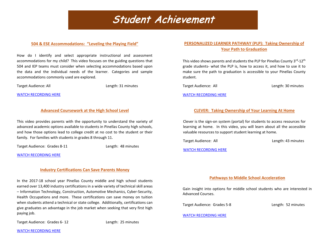### Student Achievement

#### **504 & ESE Accommodations: "Leveling the Playing Field"**

 accommodations for my child? This video focuses on the guiding questions that How do I identify and select appropriate instructional and assessment 504 and IEP teams must consider when selecting accommodations based upon the data and the individual needs of the learner. Categories and sample accommodations commonly used are explored.

Target Audience: All Length: 31 minutes

[WATCH RECORDING HERE](https://sway.office.com/6aVDnQ8gzumyia75?ref=Link&loc=play) 

#### **Advanced Coursework at the High School Level**

This video provides parents with the opportunity to understand the variety of advanced academic options available to students in Pinellas County high schools, and how those options lead to college credit at no cost to the student or their family. For famili[es with students in grades 8 through 11.](http://tinyurl.com/pcsparentacademy)

Target Audience: Grades 8-11 Length: 48 minutes

[WATCH RECORDING HERE](https://www.youtube.com/watch?v=7icIkPYvTKY)

#### **Industry Certifications Can Save Parents Money**

In the 2017-18 school year Pinellas County middle and high school students earned over 13,400 industry certifications in a wide variety of technical skill areas – Information Technology, Construction, Automotive Mechanics, Cyber-Security, Health Occupations and more. These certifications can save money on tuition when students attend a technical or state college. Additionally, certifications can give graduates an advantage in the job market when seeking that very first high paying job.

Target Audience: Grades 6- 12 Length: 25 minutes

#### **PERSONALIZED LEARNER PATHWAY (PLP): Taking Ownership of Your Path to Graduation**

This video shows parents and students the PLP for Pinellas County 3rd-12<sup>th</sup> grade students- what the PLP is, how to access it, and how to use it to make sure the path to graduation is accessible to your Pinellas County student.

Target Audience: All Length: 30 minutes

[WATCH RECORDING HERE](https://sway.office.com/o8WjeA6BrWUvoalw?ref=Link)

#### **CLEVER: Taking Ownership of Your Learning At Home**

Clever is the sign-on system (portal) for students to access resources for learning at home. In this video, you will learn about all the accessible valuable resources to support student learning at home.

Target Audience: All **Length: 43 minutes** 

[WATCH RECORDING HERE](https://sway.office.com/G8jgT5FCMKKltOxl?ref=Link)

#### **Pathways to Middle School Acceleration**

Gain insight into options for middle school students who are interested in Advanced Courses.

Target Audience: Grades 5-8 Length: 52 minutes

#### [WATCH RECORDING HERE](https://sway.office.com/VgEm98sFH4XX6SfK?ref=Link)

[WATCH RECORDING HERE](https://sway.office.com/EeJDXrxI1LvROa50?ref=Link&loc=play)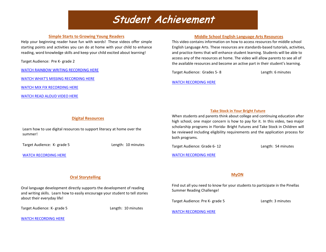### Student Achievement

#### **Simple Starts to Growing Young Readers**

Help your beginning reader have fun with words! These videos offer simple starting points and activities you can do at home with your child to enhance reading, word knowledge skills and keep your child excited about learning!

Target Audience: Pre K- grade 2

[WATCH RAINBOW WRITING RECORDING HERE](https://www.youtube.com/watch?v=UY578n-UBbw&list=PLWNl6vkxpmTRZCTkyDpqDorlB2ZIcJdux&index=2&t=15s)

[WATCH WHAT'S MISSING RECORDING HERE](https://youtu.be/pMZZfZteeJA)

[WATCH MIX FIX RECORDING HERE](https://youtu.be/QFX4DRvWt2I)

[WATCH READ ALOUD VIDEO HERE](https://youtu.be/cMOy6inuK84)

#### **Middle School English Language Arts Resources**

This video contains information on how to access resources for middle school English Language Arts. These resources are standards-based tutorials, activities, and practice items that will enhance student learning. Students will be able to access any of the resources at home. The video will allow parents to see all of the available resources and become an active part in their student's learning.

Target Audience: Grades 5-8 Length: 6 minutes

#### [WATCH RECORDING HERE](https://sway.office.com/ThiJWZkrIQP2kEeh?ref=Link)

#### **Take Stock in Your Bright Future**

When students and parents think about college and continuing education after high school, one major concern is how to pay for it. In this video, two major scholarship programs in Florida- Bright Futures and Take Stock in Children will be reviewed including eligibility requirements and the application process for both programs.

Target Audience: Grade 6-12 Length: 54 minutes

[WATCH RECORDING HERE](https://sway.office.com/teJJ4xEzYeN5vgB0?ref=Link&loc=play)

#### **MyON**

Find out all you need to know for your students to participate in the Pinellas Summer Reading Challenge!

Target Audience: Pre K- grade 5 Length: 3 minutes

[WATCH RECORDING HERE](https://youtu.be/X0LDLD8JJGI)

#### **Digital Resources**

Learn how to use digital resources to support literacy at home over the summer!

Target Audience: K- grade 5 Length: 10 minutes

#### [WATCH RECORDING HERE](https://spark.adobe.com/video/wRwha0yCLmk1D)

#### **Oral Storytelling**

Oral language development directly supports the development of reading and writing skills. Learn how to easily encourage your student to tell stories about their everyday life!

Target Audience: K- grade 5 Length: 10 minutes

[WATCH RECORDING HERE](https://sway.office.com/PBCTDuKdFjPAWpHM?ref=Link)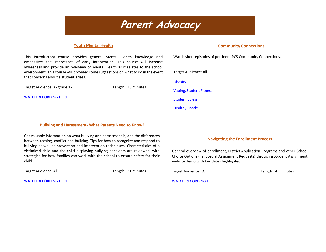### Parent Advocacy

#### **Youth Mental Health**

#### **Community Connections**

This introductory course provides general Mental Health knowledge and emphasizes the importance of early intervention. This course will increase awareness and provide an overview of Mental Health as it relates to the school environment. This course will provided some suggestions on what to do in the event that concerns about a student arises.

Target Audience: K- grade 12 Length: 38 minutes

[WATCH RECORDING HERE](https://sway.office.com/QGXE5oiHvLpFJO46?ref=Link&loc=play)

Watch short episodes of pertinent PCS Community Connections.

Target Audience: All

**[Obesity](https://www.youtube.com/watch?v=eYTidf59uCk&t=79s)** 

[Vaping/Student Fitness](https://www.youtube.com/watch?v=8CV3zEKxEcw&list=PLYxog2Ibh7CibuQh1KP3v3ZjmVgdpl0iP&index=6)

[Student Stress](https://www.youtube.com/watch?v=ar8wSqrE3cU&list=PLYxog2Ibh7CibuQh1KP3v3ZjmVgdpl0iP&index=10)

[Healthy Snacks](https://www.youtube.com/watch?v=3dgLdObCFng&list=PLYxog2Ibh7CibuQh1KP3v3ZjmVgdpl0iP&index=17)

#### **Bullying and Harassment- What Parents Need to Know!**

Get valuable information on what bullying and harassment is, and the differences between teasing, conflict and bullying. Tips for how to recognize and respond to bullying as well as prevention and intervention techniques. Characteristics of a victimized child and the child displaying bullying behaviors are reviewed, with strategies for how families can work with the school to ensure safety for their child.

Target Audience: All **Length: 31 minutes** 

[WATCH RECORDING HERE](https://sway.office.com/HQhAZdUYdoQPNsjb?ref=Link&loc=play)

#### **Navigating the Enrollment Process**

General overview of enrollment, District Application Programs and other School Choice Options (i.e. Special Assignment Requests) through a Student Assignment website demo with key dates highlighted.

Target Audience: All **Length: 45 minutes** 

[WATCH RECORDING HERE](https://sway.office.com/9YeNyvoVtd2VLy4z?ref=Link&loc=playe74)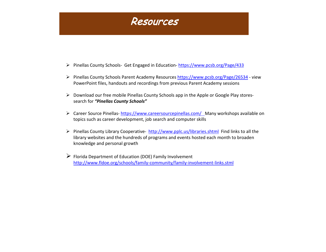

- Pinellas County Schools- Get Engaged in Education- <https://www.pcsb.org/Page/433>
- Pinellas County Schools Parent Academy Resources<https://www.pcsb.org/Page/26534> view PowerPoint files, handouts and recordings from previous Parent Academy sessions
- Download our free mobile Pinellas County Schools app in the Apple or Google Play storessearch for *"Pinellas County Schools"*
- ▶ Career Source Pinellas-[https://www.careersourcepinellas.com/ M](https://www.careersourcepinellas.com/)any workshops available on topics such as career development, job search and computer skills
- Pinellas County Library Cooperative-<http://www.pplc.us/libraries.shtml>Find links to all the library websites and the hundreds of programs and events hosted each month to broaden knowledge and personal growth
- $\triangleright$  Florida Department of Education (DOE) Family Involvement <http://www.fldoe.org/schools/family-community/family-involvement-links.stml>